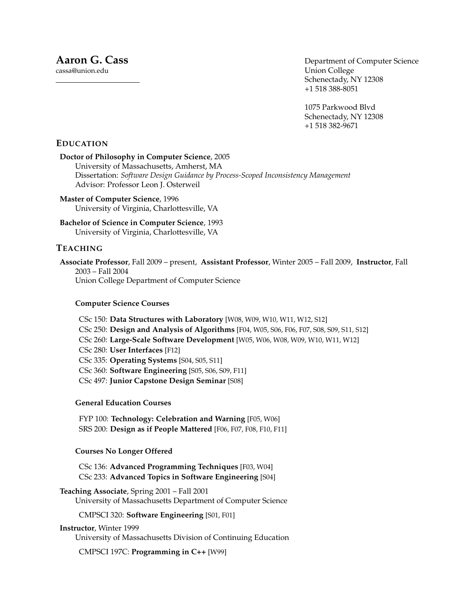cassa@union.edu

Department of Computer Science Union College Schenectady, NY 12308 +1 518 388-8051

1075 Parkwood Blvd Schenectady, NY 12308 +1 518 382-9671

# **EDUCATION**

# **Doctor of Philosophy in Computer Science**, 2005

University of Massachusetts, Amherst, MA Dissertation: *Software Design Guidance by Process-Scoped Inconsistency Management* Advisor: Professor Leon J. Osterweil

**Master of Computer Science**, 1996 University of Virginia, Charlottesville, VA

**Bachelor of Science in Computer Science**, 1993 University of Virginia, Charlottesville, VA

# **TEACHING**

**Associate Professor**, Fall 2009 – present, **Assistant Professor**, Winter 2005 – Fall 2009, **Instructor**, Fall 2003 – Fall 2004 Union College Department of Computer Science

### **Computer Science Courses**

CSc 150: **Data Structures with Laboratory** [W08, W09, W10, W11, W12, S12] CSc 250: **Design and Analysis of Algorithms** [F04, W05, S06, F06, F07, S08, S09, S11, S12] CSc 260: **Large-Scale Software Development** [W05, W06, W08, W09, W10, W11, W12] CSc 280: **User Interfaces** [F12] CSc 335: **Operating Systems** [S04, S05, S11] CSc 360: **Software Engineering** [S05, S06, S09, F11] CSc 497: **Junior Capstone Design Seminar** [S08]

### **General Education Courses**

FYP 100: **Technology: Celebration and Warning** [F05, W06] SRS 200: **Design as if People Mattered** [F06, F07, F08, F10, F11]

### **Courses No Longer Offered**

CSc 136: **Advanced Programming Techniques** [F03, W04] CSc 233: **Advanced Topics in Software Engineering** [S04]

# **Teaching Associate**, Spring 2001 – Fall 2001

University of Massachusetts Department of Computer Science

CMPSCI 320: **Software Engineering** [S01, F01]

### **Instructor**, Winter 1999

University of Massachusetts Division of Continuing Education

CMPSCI 197C: **Programming in C++** [W99]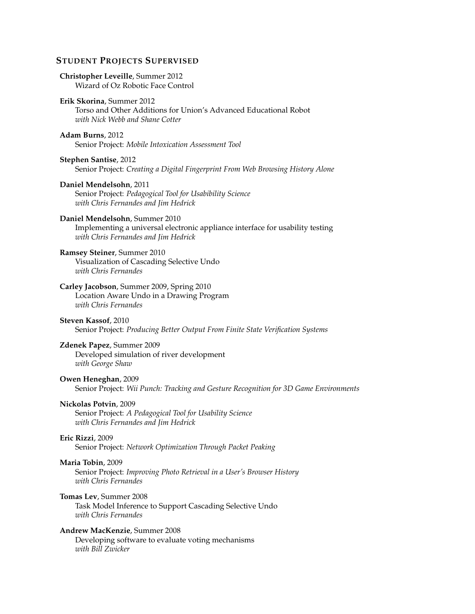# **STUDENT PROJECTS SUPERVISED**

### **Christopher Leveille**, Summer 2012 Wizard of Oz Robotic Face Control

#### **Erik Skorina**, Summer 2012

Torso and Other Additions for Union's Advanced Educational Robot *with Nick Webb and Shane Cotter*

## **Adam Burns**, 2012

Senior Project: *Mobile Intoxication Assessment Tool*

#### **Stephen Santise**, 2012

Senior Project: *Creating a Digital Fingerprint From Web Browsing History Alone*

## **Daniel Mendelsohn**, 2011 Senior Project: *Pedagogical Tool for Usabibility Science with Chris Fernandes and Jim Hedrick*

## **Daniel Mendelsohn**, Summer 2010

Implementing a universal electronic appliance interface for usability testing *with Chris Fernandes and Jim Hedrick*

# **Ramsey Steiner**, Summer 2010

Visualization of Cascading Selective Undo *with Chris Fernandes*

#### **Carley Jacobson**, Summer 2009, Spring 2010

Location Aware Undo in a Drawing Program *with Chris Fernandes*

#### **Steven Kassof**, 2010

Senior Project: *Producing Better Output From Finite State Verification Systems*

# **Zdenek Papez**, Summer 2009

Developed simulation of river development *with George Shaw*

# **Owen Heneghan**, 2009

Senior Project: *Wii Punch: Tracking and Gesture Recognition for 3D Game Environments*

### **Nickolas Potvin**, 2009

Senior Project: *A Pedagogical Tool for Usability Science with Chris Fernandes and Jim Hedrick*

#### **Eric Rizzi**, 2009

Senior Project: *Network Optimization Through Packet Peaking*

#### **Maria Tobin**, 2009

Senior Project: *Improving Photo Retrieval in a User's Browser History with Chris Fernandes*

# **Tomas Lev**, Summer 2008

Task Model Inference to Support Cascading Selective Undo *with Chris Fernandes*

# **Andrew MacKenzie**, Summer 2008

Developing software to evaluate voting mechanisms *with Bill Zwicker*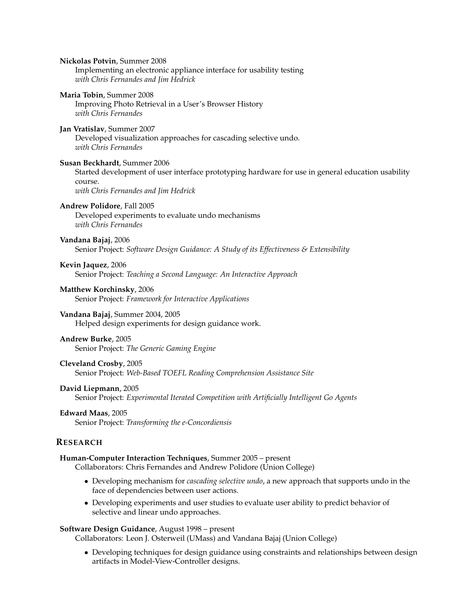**Nickolas Potvin**, Summer 2008 Implementing an electronic appliance interface for usability testing *with Chris Fernandes and Jim Hedrick* **Maria Tobin**, Summer 2008 Improving Photo Retrieval in a User's Browser History *with Chris Fernandes* **Jan Vratislav**, Summer 2007 Developed visualization approaches for cascading selective undo. *with Chris Fernandes* **Susan Beckhardt**, Summer 2006 Started development of user interface prototyping hardware for use in general education usability course. *with Chris Fernandes and Jim Hedrick* **Andrew Polidore**, Fall 2005 Developed experiments to evaluate undo mechanisms *with Chris Fernandes* **Vandana Bajaj**, 2006 Senior Project: *Software Design Guidance: A Study of its Effectiveness & Extensibility* **Kevin Jaquez**, 2006 Senior Project: *Teaching a Second Language: An Interactive Approach* **Matthew Korchinsky**, 2006 Senior Project: *Framework for Interactive Applications* **Vandana Bajaj**, Summer 2004, 2005 Helped design experiments for design guidance work. **Andrew Burke**, 2005 Senior Project: *The Generic Gaming Engine* **Cleveland Crosby**, 2005 Senior Project: *Web-Based TOEFL Reading Comprehension Assistance Site* **David Liepmann**, 2005 Senior Project: *Experimental Iterated Competition with Artificially Intelligent Go Agents* **Edward Maas**, 2005 Senior Project: *Transforming the e-Concordiensis* **RESEARCH Human-Computer Interaction Techniques**, Summer 2005 – present Collaborators: Chris Fernandes and Andrew Polidore (Union College)

- Developing mechanism for *cascading selective undo*, a new approach that supports undo in the face of dependencies between user actions.
- Developing experiments and user studies to evaluate user ability to predict behavior of selective and linear undo approaches.

## **Software Design Guidance**, August 1998 – present

Collaborators: Leon J. Osterweil (UMass) and Vandana Bajaj (Union College)

• Developing techniques for design guidance using constraints and relationships between design artifacts in Model-View-Controller designs.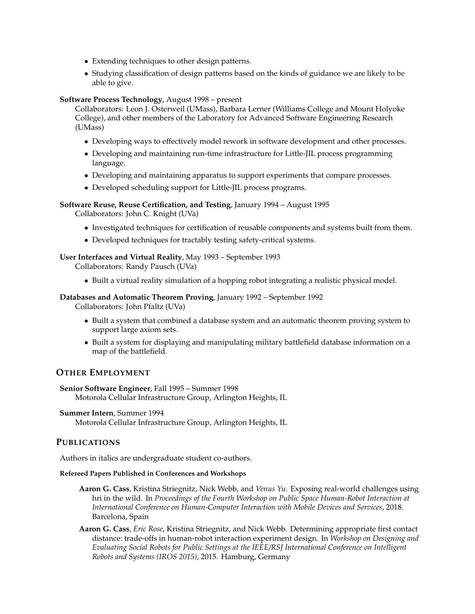- Extending techniques to other design patterns.
- Studying classification of design patterns based on the kinds of guidance we are likely to be able to give.

### **Software Process Technology**, August 1998 – present

Collaborators: Leon J. Osterweil (UMass), Barbara Lerner (Williams College and Mount Holyoke College), and other members of the Laboratory for Advanced Software Engineering Research (UMass)

- Developing ways to effectively model rework in software development and other processes.
- Developing and maintaining run-time infrastructure for Little-JIL process programming language.
- Developing and maintaining apparatus to support experiments that compare processes.
- Developed scheduling support for Little-JIL process programs.

# **Software Reuse, Reuse Certification, and Testing**, January 1994 – August 1995

Collaborators: John C. Knight (UVa)

- Investigated techniques for certification of reusable components and systems built from them.
- Developed techniques for tractably testing safety-critical systems.

## **User Interfaces and Virtual Reality**, May 1993 – September 1993

Collaborators: Randy Pausch (UVa)

• Built a virtual reality simulation of a hopping robot integrating a realistic physical model.

## **Databases and Automatic Theorem Proving**, January 1992 – September 1992

Collaborators: John Pfaltz (UVa)

- Built a system that combined a database system and an automatic theorem proving system to support large axiom sets.
- Built a system for displaying and manipulating military battlefield database information on a map of the battlefield.

# **OTHER EMPLOYMENT**

**Senior Software Engineer**, Fall 1995 – Summer 1998 Motorola Cellular Infrastructure Group, Arlington Heights, IL

### **Summer Intern**, Summer 1994

Motorola Cellular Infrastructure Group, Arlington Heights, IL

# **PUBLICATIONS**

Authors in italics are undergraduate student co-authors.

### **Refereed Papers Published in Conferences and Workshops**

- **Aaron G. Cass**, Kristina Striegnitz, Nick Webb, and *Venus Yu*. Exposing real-world challenges using hri in the wild. In *Proceedings of the Fourth Workshop on Public Space Human-Robot Interaction at International Conference on Human-Computer Interaction with Mobile Devices and Services*, 2018. Barcelona, Spain
- **Aaron G. Cass**, *Eric Rose*, Kristina Striegnitz, and Nick Webb. Determining appropriate first contact distance: trade-offs in human-robot interaction experiment design. In *Workshop on Designing and Evaluating Social Robots for Public Settings at the IEEE/RSJ International Conference on Intelligent Robots and Systems (IROS 2015)*, 2015. Hamburg, Germany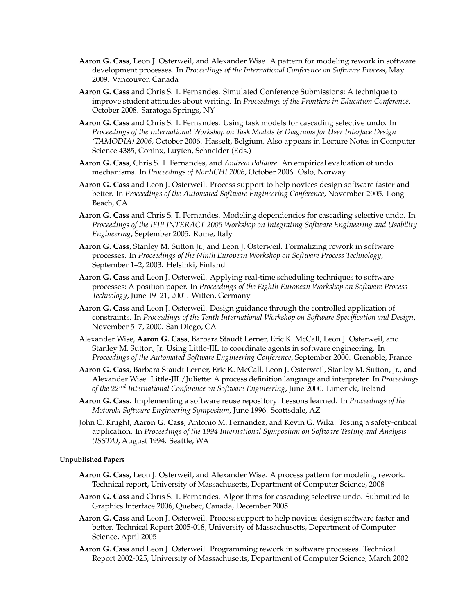- **Aaron G. Cass**, Leon J. Osterweil, and Alexander Wise. A pattern for modeling rework in software development processes. In *Proceedings of the International Conference on Software Process*, May 2009. Vancouver, Canada
- **Aaron G. Cass** and Chris S. T. Fernandes. Simulated Conference Submissions: A technique to improve student attitudes about writing. In *Proceedings of the Frontiers in Education Conference*, October 2008. Saratoga Springs, NY
- **Aaron G. Cass** and Chris S. T. Fernandes. Using task models for cascading selective undo. In *Proceedings of the International Workshop on Task Models & Diagrams for User Interface Design (TAMODIA) 2006*, October 2006. Hasselt, Belgium. Also appears in Lecture Notes in Computer Science 4385, Coninx, Luyten, Schneider (Eds.)
- **Aaron G. Cass**, Chris S. T. Fernandes, and *Andrew Polidore*. An empirical evaluation of undo mechanisms. In *Proceedings of NordiCHI 2006*, October 2006. Oslo, Norway
- **Aaron G. Cass** and Leon J. Osterweil. Process support to help novices design software faster and better. In *Proceedings of the Automated Software Engineering Conference*, November 2005. Long Beach, CA
- **Aaron G. Cass** and Chris S. T. Fernandes. Modeling dependencies for cascading selective undo. In *Proceedings of the IFIP INTERACT 2005 Workshop on Integrating Software Engineering and Usability Engineering*, September 2005. Rome, Italy
- **Aaron G. Cass**, Stanley M. Sutton Jr., and Leon J. Osterweil. Formalizing rework in software processes. In *Proceedings of the Ninth European Workshop on Software Process Technology*, September 1–2, 2003. Helsinki, Finland
- **Aaron G. Cass** and Leon J. Osterweil. Applying real-time scheduling techniques to software processes: A position paper. In *Proceedings of the Eighth European Workshop on Software Process Technology*, June 19–21, 2001. Witten, Germany
- **Aaron G. Cass** and Leon J. Osterweil. Design guidance through the controlled application of constraints. In *Proceedings of the Tenth International Workshop on Software Specification and Design*, November 5–7, 2000. San Diego, CA
- Alexander Wise, **Aaron G. Cass**, Barbara Staudt Lerner, Eric K. McCall, Leon J. Osterweil, and Stanley M. Sutton, Jr. Using Little-JIL to coordinate agents in software engineering. In *Proceedings of the Automated Software Engineering Conference*, September 2000. Grenoble, France
- **Aaron G. Cass**, Barbara Staudt Lerner, Eric K. McCall, Leon J. Osterweil, Stanley M. Sutton, Jr., and Alexander Wise. Little-JIL/Juliette: A process definition language and interpreter. In *Proceedings of the* 22nd *International Conference on Software Engineering*, June 2000. Limerick, Ireland
- **Aaron G. Cass**. Implementing a software reuse repository: Lessons learned. In *Proceedings of the Motorola Software Engineering Symposium*, June 1996. Scottsdale, AZ
- John C. Knight, **Aaron G. Cass**, Antonio M. Fernandez, and Kevin G. Wika. Testing a safety-critical application. In *Proceedings of the 1994 International Symposium on Software Testing and Analysis (ISSTA)*, August 1994. Seattle, WA

#### **Unpublished Papers**

- **Aaron G. Cass**, Leon J. Osterweil, and Alexander Wise. A process pattern for modeling rework. Technical report, University of Massachusetts, Department of Computer Science, 2008
- **Aaron G. Cass** and Chris S. T. Fernandes. Algorithms for cascading selective undo. Submitted to Graphics Interface 2006, Quebec, Canada, December 2005
- **Aaron G. Cass** and Leon J. Osterweil. Process support to help novices design software faster and better. Technical Report 2005-018, University of Massachusetts, Department of Computer Science, April 2005
- **Aaron G. Cass** and Leon J. Osterweil. Programming rework in software processes. Technical Report 2002-025, University of Massachusetts, Department of Computer Science, March 2002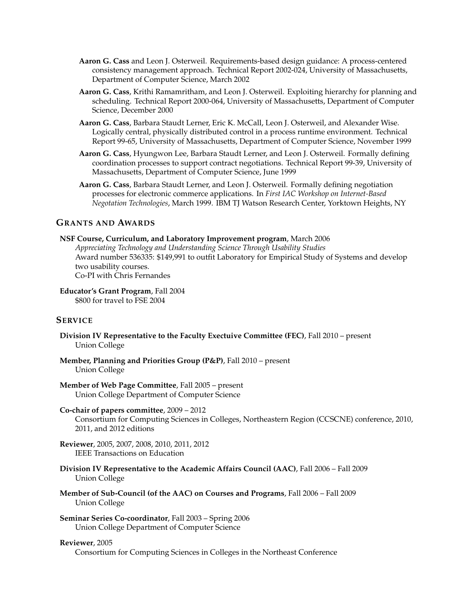- **Aaron G. Cass** and Leon J. Osterweil. Requirements-based design guidance: A process-centered consistency management approach. Technical Report 2002-024, University of Massachusetts, Department of Computer Science, March 2002
- **Aaron G. Cass**, Krithi Ramamritham, and Leon J. Osterweil. Exploiting hierarchy for planning and scheduling. Technical Report 2000-064, University of Massachusetts, Department of Computer Science, December 2000
- **Aaron G. Cass**, Barbara Staudt Lerner, Eric K. McCall, Leon J. Osterweil, and Alexander Wise. Logically central, physically distributed control in a process runtime environment. Technical Report 99-65, University of Massachusetts, Department of Computer Science, November 1999
- **Aaron G. Cass**, Hyungwon Lee, Barbara Staudt Lerner, and Leon J. Osterweil. Formally defining coordination processes to support contract negotiations. Technical Report 99-39, University of Massachusetts, Department of Computer Science, June 1999
- **Aaron G. Cass**, Barbara Staudt Lerner, and Leon J. Osterweil. Formally defining negotiation processes for electronic commerce applications. In *First IAC Workshop on Internet-Based Negotation Technologies*, March 1999. IBM TJ Watson Research Center, Yorktown Heights, NY

## **GRANTS AND AWARDS**

# **NSF Course, Curriculum, and Laboratory Improvement program**, March 2006 *Appreciating Technology and Understanding Science Through Usability Studies* Award number 536335: \$149,991 to outfit Laboratory for Empirical Study of Systems and develop two usability courses. Co-PI with Chris Fernandes

**Educator's Grant Program**, Fall 2004 \$800 for travel to FSE 2004

# **SERVICE**

- **Division IV Representative to the Faculty Exectuive Committee (FEC)**, Fall 2010 present Union College
- **Member, Planning and Priorities Group (P&P)**, Fall 2010 present Union College

## **Member of Web Page Committee**, Fall 2005 – present Union College Department of Computer Science

#### **Co-chair of papers committee**, 2009 – 2012

Consortium for Computing Sciences in Colleges, Northeastern Region (CCSCNE) conference, 2010, 2011, and 2012 editions

- **Reviewer**, 2005, 2007, 2008, 2010, 2011, 2012 IEEE Transactions on Education
- **Division IV Representative to the Academic Affairs Council (AAC)**, Fall 2006 Fall 2009 Union College
- **Member of Sub-Council (of the AAC) on Courses and Programs**, Fall 2006 Fall 2009 Union College
- **Seminar Series Co-coordinator**, Fall 2003 Spring 2006 Union College Department of Computer Science

# **Reviewer**, 2005

Consortium for Computing Sciences in Colleges in the Northeast Conference